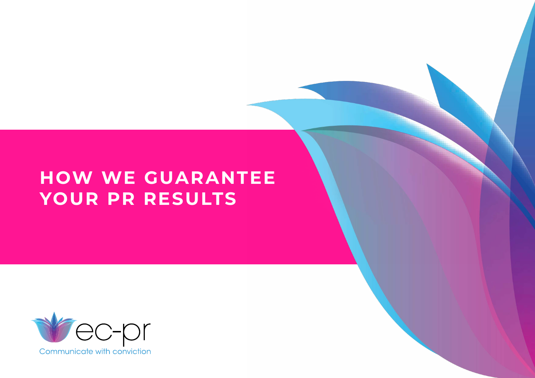# **HOW WE GUARANTEE YOUR PR RESULTS**

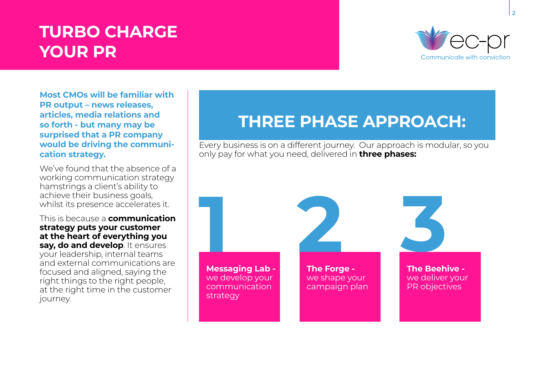# **TURBO CHARGE YOUR PR**



**Most CMOs will be familiar with PR output – news releases, articles, media relations and so forth - but many may be surprised that a PR company would be driving the communication strategy.** 

We've found that the absence of a working communication strategy hamstrings a client's ability to achieve their business goals, whilst its presence accelerates it.

This is because a **communication strategy puts your customer at the heart of everything you say, do and develop**. It ensures your leadership, internal teams and external communications are focused and aligned, saying the right things to the right people, at the right time in the customer journey.

## **THREE PHASE APPROACH:**

Every business is on a different journey. Our approach is modular, so you only pay for what you need, delivered in **three phases:**

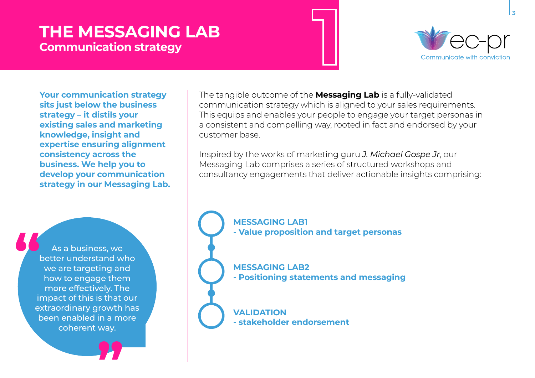## **THE MESSAGING LAB Communication strategy**



**Your communication strategy sits just below the business strategy – it distils your existing sales and marketing knowledge, insight and expertise ensuring alignment consistency across the business. We help you to develop your communication strategy in our Messaging Lab.** 



**"**

The tangible outcome of the **Messaging Lab** is a fully-validated communication strategy which is aligned to your sales requirements. This equips and enables your people to engage your target personas in a consistent and compelling way, rooted in fact and endorsed by your customer base.

Inspired by the works of marketing guru *J. Michael Gospe Jr*, our Messaging Lab comprises a series of structured workshops and consultancy engagements that deliver actionable insights comprising:

> **MESSAGING LAB1 - Value proposition and target personas**

**MESSAGING LAB2 - Positioning statements and messaging**

**VALIDATION - stakeholder endorsement**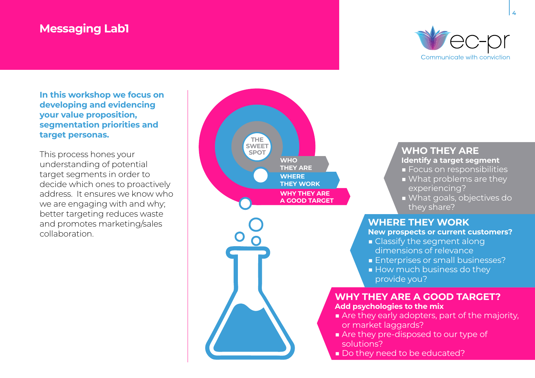### **Messaging Lab1**



**In this workshop we focus on developing and evidencing your value proposition, segmentation priorities and target personas.**

This process hones your understanding of potential target segments in order to decide which ones to proactively address. It ensures we know who we are engaging with and why; better targeting reduces waste and promotes marketing/sales collaboration.



#### **WHO THEY ARE Identify a target segment**

- Focus on responsibilities
- What problems are they experiencing?
- What goals, objectives do they share?

#### **WHERE THEY WORK**

**New prospects or current customers?**

- Classify the segment along dimensions of relevance
- Enterprises or small businesses?
- How much business do they provide you?

#### **WHY THEY ARE A GOOD TARGET?**

**Add psychologies to the mix**

- Are they early adopters, part of the majority, or market laggards?
- Are they pre-disposed to our type of solutions?
- **Do they need to be educated?**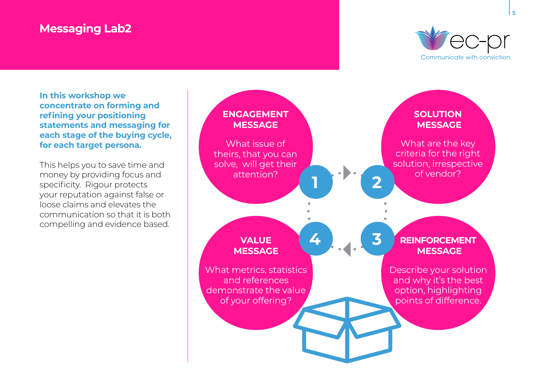### **Messaging Lab2**



**In this workshop we concentrate on forming and refining your positioning statements and messaging for each stage of the buying cycle, for each target persona.**

This helps you to save time and money by providing focus and specificity. Rigour protects your reputation against false or loose claims and elevates the communication so that it is both compelling and evidence based.

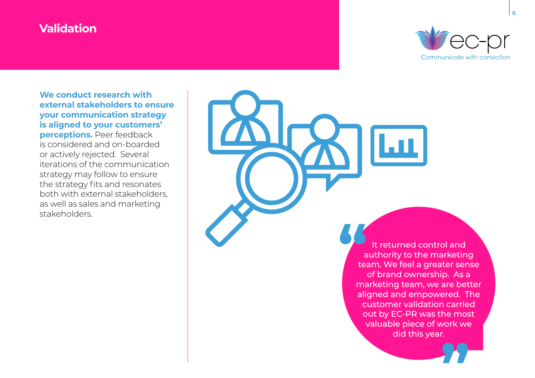### **Validation**



**We conduct research with external stakeholders to ensure your communication strategy is aligned to your customers' perceptions.** Peer feedback is considered and on-boarded or actively rejected. Several iterations of the communication strategy may follow to ensure the strategy fits and resonates both with external stakeholders, as well as sales and marketing stakeholders.

> It returned control and authority to the marketing team. We feel a greater sense of brand ownership. As a marketing team, we are better aligned and empowered. The customer validation carried out by EC-PR was the most valuable piece of work we did this year. **1999**

> > **"**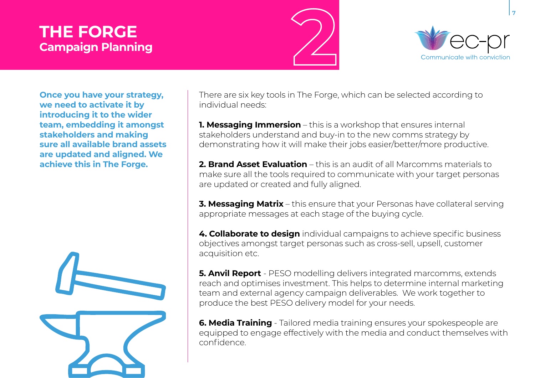## **THE FORGE Campaign Planning**





**Once you have your strategy, we need to activate it by introducing it to the wider team, embedding it amongst stakeholders and making sure all available brand assets are updated and aligned. We achieve this in The Forge.**



There are six key tools in The Forge, which can be selected according to individual needs:

**1. Messaging Immersion** – this is a workshop that ensures internal stakeholders understand and buy-in to the new comms strategy by demonstrating how it will make their jobs easier/better/more productive.

**2. Brand Asset Evaluation** – this is an audit of all Marcomms materials to make sure all the tools required to communicate with your target personas are updated or created and fully aligned.

**3. Messaging Matrix** – this ensure that your Personas have collateral serving appropriate messages at each stage of the buying cycle.

**4. Collaborate to design** individual campaigns to achieve specific business objectives amongst target personas such as cross-sell, upsell, customer acquisition etc.

**5. Anvil Report** - PESO modelling delivers integrated marcomms, extends reach and optimises investment. This helps to determine internal marketing team and external agency campaign deliverables. We work together to produce the best PESO delivery model for your needs.

**6. Media Training** - Tailored media training ensures your spokespeople are equipped to engage effectively with the media and conduct themselves with confidence.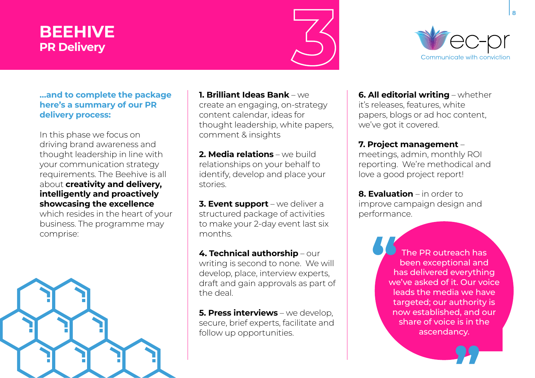## **BEEHIVE PR Delivery**





#### **…and to complete the package here's a summary of our PR delivery process:**

In this phase we focus on driving brand awareness and thought leadership in line with your communication strategy requirements. The Beehive is all about **creativity and delivery, intelligently and proactively showcasing the excellence** 

which resides in the heart of your business. The programme may comprise:



**1. Brilliant Ideas Bank** – we create an engaging, on-strategy content calendar, ideas for thought leadership, white papers, comment & insights

**2. Media relations** – we build relationships on your behalf to identify, develop and place your stories.

**3. Event support** – we deliver a structured package of activities to make your 2-day event last six months.

**4. Technical authorship** – our writing is second to none. We will develop, place, interview experts, draft and gain approvals as part of the deal.

**5. Press interviews** – we develop, secure, brief experts, facilitate and follow up opportunities.

**6. All editorial writing** – whether it's releases, features, white papers, blogs or ad hoc content, we've got it covered.

#### **7. Project management** –

meetings, admin, monthly ROI reporting. We're methodical and love a good project report!

**8. Evaluation** – in order to improve campaign design and performance.

> The PR outreach has been exceptional and has delivered everything we've asked of it. Our voice leads the media we have targeted; our authority is now established, and our share of voice is in the ascendancy. **"**

> > **"**